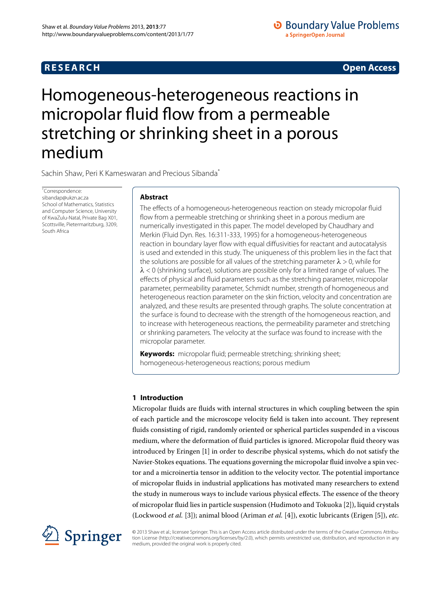## **RESEARCH RESEARCH CONSUMING ACCESS**

# <span id="page-0-0"></span>Homogeneous-heterogeneous reactions in micropolar fluid flow from a permeable stretching or shrinking sheet in a porous medium

Sachin Shaw, Peri K Kameswaran and Precious Sibanda[\\*](#page-0-0)

\* Correspondence: [sibandap@ukzn.ac.za](mailto:sibandap@ukzn.ac.za) School of Mathematics, Statistics and Computer Science, University of KwaZulu-Natal, Private Bag X01, Scottsville, Pietermaritzburg, 3209, South Africa

## **Abstract**

The effects of a homogeneous-heterogeneous reaction on steady micropolar fluid flow from a permeable stretching or shrinking sheet in a porous medium are numerically investigated in this paper. The model developed by Chaudhary and Merkin (Fluid Dyn. Res. 16:311-333, 1995) for a homogeneous-heterogeneous reaction in boundary layer flow with equal diffusivities for reactant and autocatalysis is used and extended in this study. The uniqueness of this problem lies in the fact that the solutions are possible for all values of the stretching parameter *λ* > 0, while for *λ* < 0 (shrinking surface), solutions are possible only for a limited range of values. The effects of physical and fluid parameters such as the stretching parameter, micropolar parameter, permeability parameter, Schmidt number, strength of homogeneous and heterogeneous reaction parameter on the skin friction, velocity and concentration are analyzed, and these results are presented through graphs. The solute concentration at the surface is found to decrease with the strength of the homogeneous reaction, and to increase with heterogeneous reactions, the permeability parameter and stretching or shrinking parameters. The velocity at the surface was found to increase with the micropolar parameter.

**Keywords:** micropolar fluid; permeable stretching; shrinking sheet; homogeneous-heterogeneous reactions; porous medium

## **1 Introduction**

Micropolar fluids are fluids with internal structures in which coupling between the spin of each particle and the microscope velocity field is taken into account. They represent fluids consisting of rigid, randomly oriented or spherical particles suspended in a viscous medium, where the deformation of fluid particles is ignored. Micropolar fluid theory was introduced by Eringen [[\]](#page-8-0) in order to describe physical systems, which do not satisfy the Navier-Stokes equations. The equations governing the micropolar fluid involve a spin vector and a microinertia tensor in addition to the velocity vector. The potential importance of micropolar fluids in industrial applications has motivated many researchers to extend the study in numerous ways to include various physical effects. The essence of the theory of micropolar fluid lies in particle suspension (Hudimoto and Tokuoka [\[](#page-8-1)2]), liquid crystals (Lockwood *et al.* [\[](#page-8-4)3]); animal blood (Ariman *et al.* [4]), exotic lubricants (Erigen [5]), *etc.* 



© 2013 Shaw et al.; licensee Springer. This is an Open Access article distributed under the terms of the Creative Commons Attribution License ([http://creativecommons.org/licenses/by/2.0\)](http://creativecommons.org/licenses/by/2.0), which permits unrestricted use, distribution, and reproduction in any medium, provided the original work is properly cited.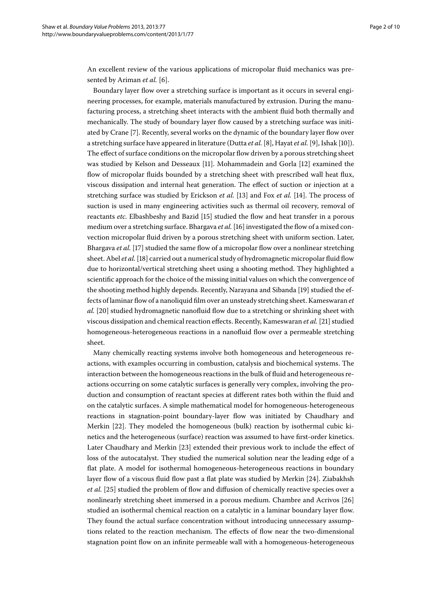An excellent review of the various applications of micropolar fluid mechanics was presented by Ariman *et al.* [6].

Boundary layer flow over a stretching surface is important as it occurs in several engineering processes, for example, materials manufactured by extrusion. During the manufacturing process, a stretching sheet interacts with the ambient fluid both thermally and mechanically. The study of boundary layer flow caused by a stretching surface was initi-ated by Crane [7[\]](#page-8-6). Recently, several works on the dynamic of the boundary layer flow over a stretching surface have appeared in literature (Dutta *et al.* [8], Hayat *et al.* [9], Ishak [10]). The effect of surface conditions on the micropolar flow driven by a porous stretching sheet was studied by Kelson and Desseaux [11]. Mohammadein and Gorla [12] examined the flow of micropolar fluids bounded by a stretching sheet with prescribed wall heat flux, viscous dissipation and internal heat generation. The effect of suction or injection at a stretching surface was studied by Erickson *et al.* [\[](#page-9-4)13] and Fox *et al.* [14]. The process of suction is used in many engineering activities such as thermal oil recovery, removal of reactants *etc*. Elbashbeshy and Bazid [\[](#page-9-5)15] studied the flow and heat transfer in a porous medium over a stretching surface. Bhargava *et al.* [16[\]](#page-9-6) investigated the flow of a mixed convection micropolar fluid driven by a porous stretching sheet with uniform section. Later, Bhargava *et al.* [17[\]](#page-9-7) studied the same flow of a micropolar flow over a nonlinear stretching sheet. Abel *et al.* [18[\]](#page-9-8) carried out a numerical study of hydromagnetic micropolar fluid flow due to horizontal/vertical stretching sheet using a shooting method. They highlighted a scientific approach for the choice of the missing initial values on which the convergence of the shooting method highly depends. Recently, Narayana and Sibanda [19[\]](#page-9-9) studied the effects of laminar flow of a nanoliquid film over an unsteady stretching sheet. Kameswaran *et* al. [20] studied hydromagnetic nanofluid flow due to a stretching or shrinking sheet with viscous dissipation and chemical reaction effects. Recently, Kameswaran *et al.* [\[](#page-9-11)21] studied homogeneous-heterogeneous reactions in a nanofluid flow over a permeable stretching sheet.

Many chemically reacting systems involve both homogeneous and heterogeneous reactions, with examples occurring in combustion, catalysis and biochemical systems. The interaction between the homogeneous reactions in the bulk of fluid and heterogeneous reactions occurring on some catalytic surfaces is generally very complex, involving the production and consumption of reactant species at different rates both within the fluid and on the catalytic surfaces. A simple mathematical model for homogeneous-heterogeneous reactions in stagnation-point boundary-layer flow was initiated by Chaudhary and Merkin [22[\]](#page-9-12). They modeled the homogeneous (bulk) reaction by isothermal cubic kinetics and the heterogeneous (surface) reaction was assumed to have first-order kinetics. Later Chaudhary and Merkin [\[](#page-9-13)23] extended their previous work to include the effect of loss of the autocatalyst. They studied the numerical solution near the leading edge of a flat plate. A model for isothermal homogeneous-heterogeneous reactions in boundary layer flow of a viscous fluid flow past a flat plate was studied by Merkin [24]. Ziabakhsh *et al.* [\[](#page-9-15)25] studied the problem of flow and diffusion of chemically reactive species over a nonlinearly stretching sheet immersed in a porous medium. Chambre and Acrivos [26] studied an isothermal chemical reaction on a catalytic in a laminar boundary layer flow. They found the actual surface concentration without introducing unnecessary assumptions related to the reaction mechanism. The effects of flow near the two-dimensional stagnation point flow on an infinite permeable wall with a homogeneous-heterogeneous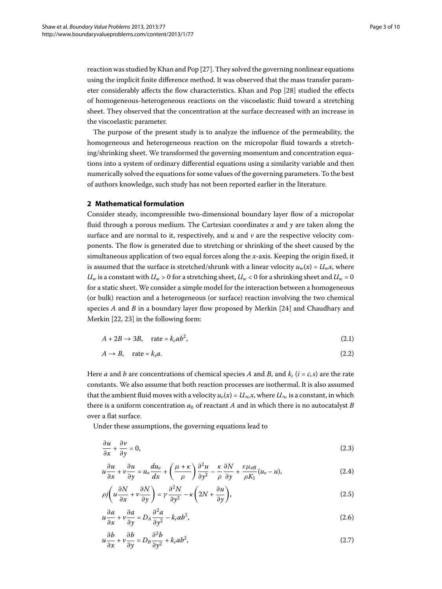reaction was studied by Khan and Pop  $[27]$  $[27]$ . They solved the governing nonlinear equations using the implicit finite difference method. It was observed that the mass transfer param-eter considerably affects the flow characteristics. Khan and Pop [28[\]](#page-9-18) studied the effects of homogeneous-heterogeneous reactions on the viscoelastic fluid toward a stretching sheet. They observed that the concentration at the surface decreased with an increase in the viscoelastic parameter.

The purpose of the present study is to analyze the influence of the permeability, the homogeneous and heterogeneous reaction on the micropolar fluid towards a stretching/shrinking sheet. We transformed the governing momentum and concentration equations into a system of ordinary differential equations using a similarity variable and then numerically solved the equations for some values of the governing parameters. To the best of authors knowledge, such study has not been reported earlier in the literature.

## **2 Mathematical formulation**

Consider steady, incompressible two-dimensional boundary layer flow of a micropolar fluid through a porous medium. The Cartesian coordinates *x* and *y* are taken along the surface and are normal to it, respectively, and  $u$  and  $v$  are the respective velocity components. The flow is generated due to stretching or shrinking of the sheet caused by the simultaneous application of two equal forces along the *x*-axis. Keeping the origin fixed, it is assumed that the surface is stretched/shrunk with a linear velocity  $u_w(x) = U_w x$ , where  $U_w$  is a constant with  $U_w > 0$  for a stretching sheet,  $U_w < 0$  for a shrinking sheet and  $U_w = 0$ for a static sheet. We consider a simple model for the interaction between a homogeneous (or bulk) reaction and a heterogeneous (or surface) reaction involving the two chemical species  $A$  and  $B$  in a boundary layer flow proposed by Merkin  $[24]$  and Chaudhary and Merkin  $[22, 23]$  $[22, 23]$  in the following form:

$$
A + 2B \to 3B, \quad \text{rate} = k_c a b^2,\tag{2.1}
$$

$$
A \to B, \quad \text{rate} = k_s a. \tag{2.2}
$$

Here *a* and *b* are concentrations of chemical species *A* and *B*, and  $k_i$  ( $i = c, s$ ) are the rate constants. We also assume that both reaction processes are isothermal. It is also assumed that the ambient fluid moves with a velocity  $u_e(x) = U_{\infty}x$ , where  $U_{\infty}$  is a constant, in which there is a uniform concentration  $a_0$  of reactant  $A$  and in which there is no autocatalyst  $B$ over a flat surface.

Under these assumptions, the governing equations lead to

$$
\frac{\partial u}{\partial x} + \frac{\partial v}{\partial y} = 0,\tag{2.3}
$$

$$
u\frac{\partial u}{\partial x} + v\frac{\partial u}{\partial y} = u_e \frac{du_e}{dx} + \left(\frac{\mu + \kappa}{\rho}\right) \frac{\partial^2 u}{\partial y^2} - \frac{\kappa}{\rho} \frac{\partial N}{\partial y} + \frac{\varepsilon \mu_{\text{eff}}}{\rho K_1} (u_e - u),\tag{2.4}
$$

$$
\rho j \left( u \frac{\partial N}{\partial x} + v \frac{\partial N}{\partial y} \right) = \gamma \frac{\partial^2 N}{\partial y^2} - \kappa \left( 2N + \frac{\partial u}{\partial y} \right),\tag{2.5}
$$

$$
u\frac{\partial a}{\partial x} + v\frac{\partial a}{\partial y} = D_A \frac{\partial^2 a}{\partial y^2} - k_c a b^2,\tag{2.6}
$$

$$
u\frac{\partial b}{\partial x} + v\frac{\partial b}{\partial y} = D_B \frac{\partial^2 b}{\partial y^2} + k_c ab^2,
$$
\n(2.7)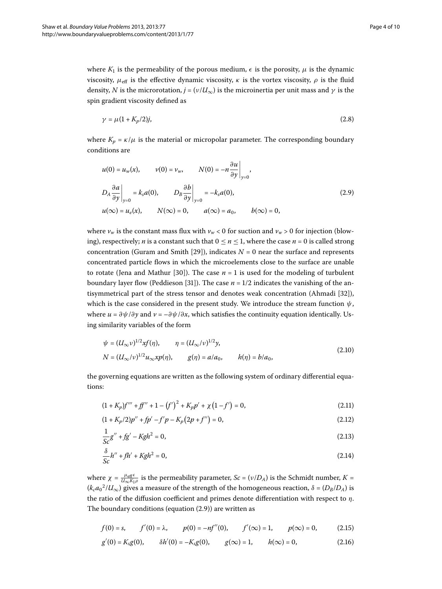<span id="page-3-0"></span>where  $K_1$  is the permeability of the porous medium,  $\epsilon$  is the porosity,  $\mu$  is the dynamic viscosity,  $μ_{\text{eff}}$  is the effective dynamic viscosity,  $κ$  is the vortex viscosity,  $ρ$  is the fluid density, *N* is the microrotation,  $j = (v/U_\infty)$  is the microinertia per unit mass and  $\gamma$  is the spin gradient viscosity defined as

$$
\gamma = \mu(1 + K_p/2)j,\tag{2.8}
$$

where  $K_p = \kappa / \mu$  is the material or micropolar parameter. The corresponding boundary conditions are

$$
u(0) = u_w(x), \qquad v(0) = v_w, \qquad N(0) = -n \frac{\partial u}{\partial y}\Big|_{y=0},
$$
  
\n
$$
D_A \frac{\partial a}{\partial y}\Big|_{y=0} = k_s a(0), \qquad D_B \frac{\partial b}{\partial y}\Big|_{y=0} = -k_s a(0),
$$
  
\n
$$
u(\infty) = u_e(x), \qquad N(\infty) = 0, \qquad a(\infty) = a_0, \qquad b(\infty) = 0,
$$
\n(2.9)

where  $v_w$  is the constant mass flux with  $v_w < 0$  for suction and  $v_w > 0$  for injection (blowing), respectively; *n* is a constant such that  $0 \le n \le 1$ , where the case  $n = 0$  is called strong concentration (Guram and Smith [29]), indicates  $N = 0$  near the surface and represents concentrated particle flows in which the microelements close to the surface are unable to rotate (Jena and Mathur [30[\]](#page-9-20)). The case  $n = 1$  is used for the modeling of turbulent boundary layer flow (Peddieson [\[](#page-9-21)31]). The case  $n = 1/2$  indicates the vanishing of the an-tisymmetrical part of the stress tensor and denotes weak concentration (Ahmadi [32[\]](#page-9-22)), which is the case considered in the present study. We introduce the stream function  $\psi$ , where  $u = \partial \psi / \partial y$  and  $v = -\partial \psi / \partial x$ , which satisfies the continuity equation identically. Using similarity variables of the form

<span id="page-3-5"></span><span id="page-3-4"></span>
$$
\psi = (U_{\infty}v)^{1/2}xf(\eta), \qquad \eta = (U_{\infty}/v)^{1/2}y, \nN = (U_{\infty}/v)^{1/2}u_{\infty}xp(\eta), \qquad g(\eta) = a/a_0, \qquad h(\eta) = b/a_0,
$$
\n(2.10)

<span id="page-3-2"></span><span id="page-3-1"></span>the governing equations are written as the following system of ordinary differential equations:

$$
(1 + K_p)f''' + f'' + 1 - (f')^2 + K_p p' + \chi(1 - f') = 0,
$$
\n(2.11)

$$
(1 + K_p/2)p'' + fp' - f'p - K_p(2p + f'') = 0,
$$
\n(2.12)

$$
\frac{1}{Sc}g'' + fg' - Kgh^2 = 0,
$$
\n(2.13)

$$
\frac{\delta}{Sc}h'' + fh' + Kgh^2 = 0,
$$
\n(2.14)

<span id="page-3-6"></span><span id="page-3-3"></span>where  $\chi = \frac{\mu_{\text{eff}} \epsilon}{U_{\infty} K_1 \rho}$  is the permeability parameter,  $Sc = (\nu/D_A)$  is the Schmidt number,  $K =$  $(k_c a_0^2 / U_\infty)$  gives a measure of the strength of the homogeneous reaction, *δ* = (*D<sub>B</sub>*/*D<sub>A</sub>*) is the ratio of the diffusion coefficient and primes denote differentiation with respect to *η*. The boundary conditions (equation  $(2.9)$ ) are written as

$$
f(0) = s
$$
,  $f'(0) = \lambda$ ,  $p(0) = -nf''(0)$ ,  $f'(\infty) = 1$ ,  $p(\infty) = 0$ , (2.15)

$$
g'(0) = K_s g(0), \qquad \delta h'(0) = -K_s g(0), \qquad g(\infty) = 1, \qquad h(\infty) = 0,
$$
 (2.16)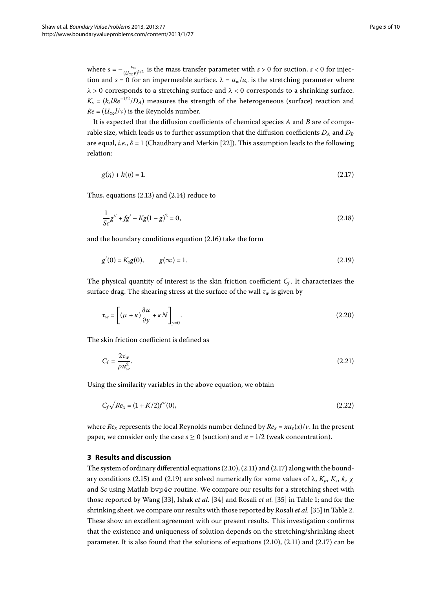where  $s = -\frac{v_w}{(U_\infty v)^{1/2}}$  is the mass transfer parameter with  $s > 0$  for suction,  $s < 0$  for injection and  $s = 0$  for an impermeable surface.  $\lambda = u_w/u_e$  is the stretching parameter where *λ* > 0 corresponds to a stretching surface and *λ* < 0 corresponds to a shrinking surface.  $K_s = (k_s I Re^{-1/2}/D_A)$  measures the strength of the heterogeneous (surface) reaction and  $Re = (U_{\infty}l/\nu)$  is the Reynolds number.

It is expected that the diffusion coefficients of chemical species *A* and *B* are of comparable size, which leads us to further assumption that the diffusion coefficients  $D_A$  and  $D_B$ are equal, *i.e.*,  $\delta = 1$  (Chaudhary and Merkin [22[\]](#page-9-12)). This assumption leads to the following relation:

<span id="page-4-0"></span>
$$
g(\eta) + h(\eta) = 1.
$$
 (2.17)

Thus, equations  $(2.13)$  $(2.13)$  $(2.13)$  and  $(2.14)$  reduce to

<span id="page-4-1"></span>
$$
\frac{1}{Sc}g'' + fg' - Kg(1-g)^2 = 0,
$$
\n(2.18)

and the boundary conditions equation  $(2.16)$  take the form

$$
g'(0) = K_s g(0), \qquad g(\infty) = 1. \tag{2.19}
$$

The physical quantity of interest is the skin friction coefficient  $C_f$ . It characterizes the surface drag. The shearing stress at the surface of the wall *τ<sup>w</sup>* is given by

$$
\tau_w = \left[ (\mu + \kappa) \frac{\partial u}{\partial y} + \kappa N \right]_{y=0}.
$$
\n(2.20)

The skin friction coefficient is defined as

$$
C_f = \frac{2\tau_w}{\rho u_w^2}.\tag{2.21}
$$

Using the similarity variables in the above equation, we obtain

$$
C_f \sqrt{Re_x} = (1 + K/2)f''(0),\tag{2.22}
$$

where  $Re_x$  represents the local Reynolds number defined by  $Re_x = xu_e(x)/v$ . In the present paper, we consider only the case  $s \ge 0$  (suction) and  $n = 1/2$  (weak concentration).

### **3 Results and discussion**

The system of ordinary differential equations  $(2.10)$ ,  $(2.11)$  and  $(2.17)$  along with the boundary conditions (2.15) and (2.19) are solved numerically for some values of  $\lambda$ ,  $K_p$ ,  $K_s$ ,  $k$ ,  $\chi$ and *Sc* using Matlab bvp4c routine. We compare our results for a stretching sheet with those reported by Wang [33[\]](#page-9-25), Ishak *et al.* [34] and Rosali *et al.* [35] in Table 1; and for the shrinking sheet, we compare our results with those reported by Rosali *et al[.](#page-5-1)* [\[](#page-9-25)35] in Table 2. These show an excellent agreement with our present results. This investigation confirms that the existence and uniqueness of solution depends on the stretching/shrinking sheet parameter. It is also found that the solutions of equations  $(2.10)$ ,  $(2.11)$  and  $(2.17)$  can be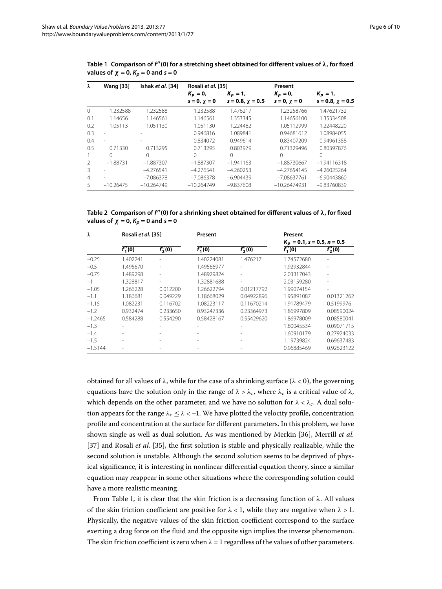| λ        | <b>Wang [33]</b>         | Ishak et al. [34] | Rosali et al. [35] |                          | Present        |                          |
|----------|--------------------------|-------------------|--------------------|--------------------------|----------------|--------------------------|
|          |                          |                   | $K_p = 0$ ,        | $K_{D} = 1,$             | $K_p = 0$ ,    | $K_{D} = 1,$             |
|          |                          |                   | $s = 0, x = 0$     | $s = 0.8$ , $\chi = 0.5$ | $s = 0, x = 0$ | $s = 0.8$ , $\chi = 0.5$ |
| $\Omega$ | 1.232588                 | 1.232588          | 1.232588           | 1.476217                 | 1.23258766     | 1.47621732               |
| 0.1      | 1.14656                  | 1.146561          | 1.146561           | 1.353345                 | 1.14656100     | 1.35334508               |
| 0.2      | 1.05113                  | 1.051130          | 1.051130           | 1.224482                 | 1.05112999     | 1.22448220               |
| 0.3      | $\overline{\phantom{a}}$ | -                 | 0.946816           | 1.089841                 | 0.94681612     | 1.08984055               |
| 0.4      |                          |                   | 0.834072           | 0.949614                 | 0.83407209     | 0.94961358               |
| 0.5      | 0.71330                  | 0.713295          | 0.713295           | 0.803979                 | 0.71329496     | 0.80397876               |
|          | $\Omega$                 | 0                 | 0                  | $\Omega$                 | 0              | 0                        |
|          | $-1.88731$               | $-1.887307$       | $-1.887307$        | $-1.941163$              | $-1.88730667$  | $-1.94116318$            |
| 3        |                          | $-4.276541$       | $-4.276541$        | $-4.260253$              | $-4.27654145$  | $-4.26025264$            |
| 4        |                          | $-7.086378$       | $-7.086378$        | $-6.904439$              | $-7.08637761$  | $-6.90443860$            |
| 5        | $-10.26475$              | $-10.264749$      | $-10.264749$       | $-9.837608$              | $-10.26474931$ | $-9.83760839$            |

<span id="page-5-0"></span>**Table 1 Comparison of** *f***--(0) for a stretching sheet obtained for different values of** *λ***, for fixed values of**  $\chi$  = 0,  $K_p$  = 0 and  $s$  = 0

<span id="page-5-1"></span>**Table 2 Comparison of** *f***--(0) for a shrinking sheet obtained for different values of** *λ***, for fixed** *values of*  $\chi$  = 0,  $K_p$  = 0 and  $s$  = 0

| λ         | Rosali et al. [35] |            | Present    |            | Present<br>$K_p = 0.1$ , s = 0.5, n = 0.5 |            |
|-----------|--------------------|------------|------------|------------|-------------------------------------------|------------|
|           | $f''_1(0)$         | $f''_2(0)$ | $f''_1(0)$ | $f''_2(0)$ | $f''_1(0)$                                | $f''_2(0)$ |
| $-0.25$   | 1.402241           |            | 1.40224081 | 1.476217   | 1.74572680                                | ۰          |
| $-0.5$    | 1.495670           | ۰          | 1.49566977 |            | 1.92932844                                |            |
| $-0.75$   | 1.489298           |            | 1.48929824 |            | 2.03317043                                |            |
| $-1$      | 1.328817           |            | 1.32881688 |            | 2.03159280                                |            |
| $-1.05$   | 1.266228           | 0.012200   | 1.26622794 | 0.01217792 | 1.99074154                                |            |
| $-1.1$    | 1.186681           | 0.049229   | 1.18668029 | 0.04922896 | 1.95891087                                | 0.01321262 |
| $-1.15$   | 1.082231           | 0.116702   | 1.08223117 | 0.11670214 | 1.91789479                                | 0.5199976  |
| $-1.2$    | 0.932474           | 0.233650   | 0.93247336 | 0.23364973 | 1.86997809                                | 0.08590024 |
| $-1.2465$ | 0.584288           | 0.554290   | 0.58428167 | 0.55429620 | 1.86978009                                | 0.08580041 |
| $-1.3$    |                    |            |            |            | 1.80045534                                | 0.09071715 |
| $-1.4$    |                    |            |            |            | 1.60910179                                | 0.27924033 |
| $-1.5$    |                    |            |            |            | 1.19739824                                | 0.69637483 |
| $-1.5144$ |                    |            |            |            | 0.96885469                                | 0.92623122 |

obtained for all values of  $\lambda$ , while for the case of a shrinking surface ( $\lambda$  < 0), the governing equations have the solution only in the range of  $\lambda > \lambda_c$ , where  $\lambda_c$  is a critical value of  $\lambda$ , which depends on the other parameter, and we have no solution for  $\lambda < \lambda_c$ . A dual solution appears for the range  $\lambda_c \leq \lambda < -1$ . We have plotted the velocity profile, concentration profile and concentration at the surface for different parameters. In this problem, we have shown single as well as dual solution. As was mentioned by Merkin [36[\]](#page-9-26), Merrill et al. [37[\]](#page-9-25) and Rosali *et al.* [35], the first solution is stable and physically realizable, while the second solution is unstable. Although the second solution seems to be deprived of physical significance, it is interesting in nonlinear differential equation theory, since a similar equation may reappear in some other situations where the corresponding solution could have a more realistic meaning.

From Table 1[,](#page-5-0) it is clear that the skin friction is a decreasing function of  $\lambda$ . All values of the skin friction coefficient are positive for  $\lambda < 1$ , while they are negative when  $\lambda > 1$ . Physically, the negative values of the skin friction coefficient correspond to the surface exerting a drag force on the fluid and the opposite sign implies the inverse phenomenon. The skin friction coefficient is zero when  $\lambda = 1$  regardless of the values of other parameters.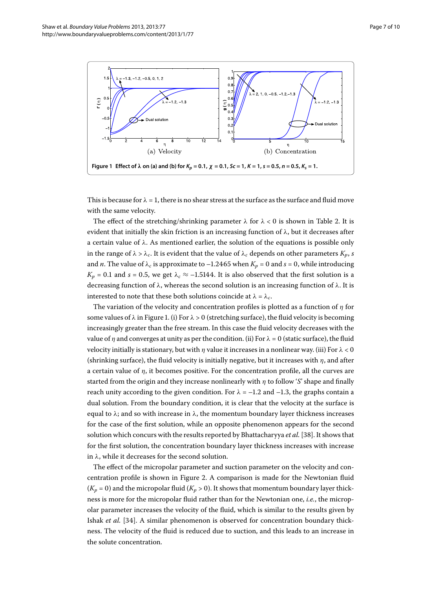<span id="page-6-0"></span>

This is because for  $\lambda = 1$ , there is no shear stress at the surface as the surface and fluid move with the same velocity.

The effect of the stretching/shrinking parameter  $\lambda$  for  $\lambda < 0$  is shown in Table 2. It is evident that initially the skin friction is an increasing function of *λ*, but it decreases after a certain value of *λ*. As mentioned earlier, the solution of the equations is possible only in the range of  $\lambda > \lambda_c$ . It is evident that the value of  $\lambda_c$  depends on other parameters  $K_p$ , *s* and *n*. The value of  $\lambda_c$  is approximate to -1.2465 when  $K_p = 0$  and  $s = 0$ , while introducing  $K_p = 0.1$  and  $s = 0.5$ , we get  $\lambda_c \approx -1.5144$ . It is also observed that the first solution is a decreasing function of *λ*, whereas the second solution is an increasing function of *λ*. It is interested to note that these both solutions coincide at  $\lambda = \lambda_c$ .

The variation of the velocity and concentration profiles is plotted as a function of *η* for some values of  $\lambda$  in Figure 1. (i) For  $\lambda > 0$  (stretching surface), the fluid velocity is becoming increasingly greater than the free stream. In this case the fluid velocity decreases with the value of *η* and converges at unity as per the condition. (ii) For  $\lambda = 0$  (static surface), the fluid velocity initially is stationary, but with *η* value it increases in a nonlinear way. (iii) For *λ* < (shrinking surface), the fluid velocity is initially negative, but it increases with  $\eta$ , and after a certain value of *η*, it becomes positive. For the concentration profile, all the curves are started from the origin and they increase nonlinearly with *η* to follow '*S*' shape and finally reach unity according to the given condition. For  $\lambda = -1.2$  and  $-1.3$ , the graphs contain a dual solution. From the boundary condition, it is clear that the velocity at the surface is equal to  $\lambda$ ; and so with increase in  $\lambda$ , the momentum boundary layer thickness increases for the case of the first solution, while an opposite phenomenon appears for the second solution which concurs with the results reported by Bhattacharyya *et al.* [\[](#page-9-28)38]. It shows that for the first solution, the concentration boundary layer thickness increases with increase in *λ*, while it decreases for the second solution.

The effect of the micropolar parameter and suction parameter on the velocity and concentration profile is shown in Figure [.](#page-7-0) A comparison is made for the Newtonian fluid  $(K_p = 0)$  and the micropolar fluid  $(K_p > 0)$ . It shows that momentum boundary layer thickness is more for the micropolar fluid rather than for the Newtonian one, *i.e.*, the micropolar parameter increases the velocity of the fluid, which is similar to the results given by Ishak *et al.* [34]. A similar phenomenon is observed for concentration boundary thickness. The velocity of the fluid is reduced due to suction, and this leads to an increase in the solute concentration.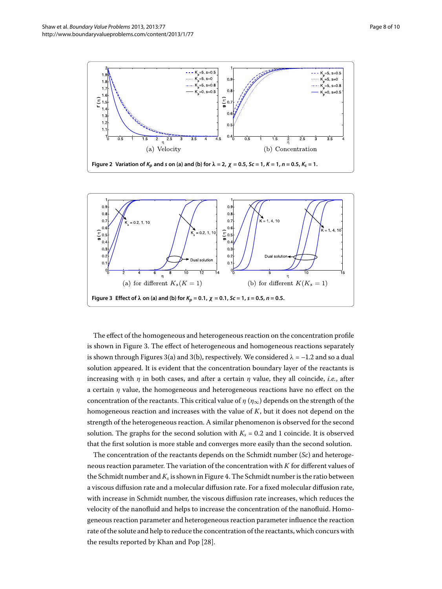<span id="page-7-0"></span>

<span id="page-7-1"></span>

The effect of the homogeneous and heterogeneous reaction on the concentration profile is shown in Figure 3. The effect of heterogeneous and homogeneous reactions separately is shown through Figures 3[\(](#page-7-1)a) and 3(b), respectively. We considered  $\lambda = -1.2$  and so a dual solution appeared. It is evident that the concentration boundary layer of the reactants is increasing with  $\eta$  in both cases, and after a certain  $\eta$  value, they all coincide, *i.e.*, after a certain *η* value, the homogeneous and heterogeneous reactions have no effect on the concentration of the reactants. This critical value of *η* (*η*∞) depends on the strength of the homogeneous reaction and increases with the value of *K*, but it does not depend on the strength of the heterogeneous reaction. A similar phenomenon is observed for the second solution. The graphs for the second solution with  $K_s = 0.2$  and 1 coincide. It is observed that the first solution is more stable and converges more easily than the second solution.

The concentration of the reactants depends on the Schmidt number (*Sc*) and heterogeneous reaction parameter. The variation of the concentration with *K* for different values of the Schmidt number and  $K_s$  is shown in Figure 4. The Schmidt number is the ratio between a viscous diffusion rate and a molecular diffusion rate. For a fixed molecular diffusion rate, with increase in Schmidt number, the viscous diffusion rate increases, which reduces the velocity of the nanofluid and helps to increase the concentration of the nanofluid. Homogeneous reaction parameter and heterogeneous reaction parameter influence the reaction rate of the solute and help to reduce the concentration of the reactants, which concurs with the results reported by Khan and Pop [28[\]](#page-9-18).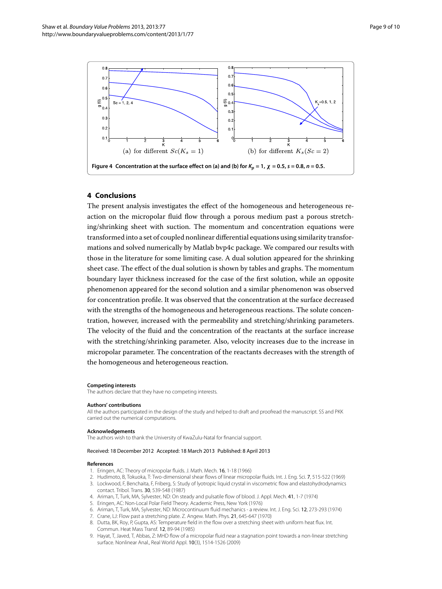<span id="page-8-9"></span>

## **4 Conclusions**

The present analysis investigates the effect of the homogeneous and heterogeneous reaction on the micropolar fluid flow through a porous medium past a porous stretching/shrinking sheet with suction. The momentum and concentration equations were transformed into a set of coupled nonlinear differential equations using similarity transformations and solved numerically by Matlab byp4c package. We compared our results with those in the literature for some limiting case. A dual solution appeared for the shrinking sheet case. The effect of the dual solution is shown by tables and graphs. The momentum boundary layer thickness increased for the case of the first solution, while an opposite phenomenon appeared for the second solution and a similar phenomenon was observed for concentration profile. It was observed that the concentration at the surface decreased with the strengths of the homogeneous and heterogeneous reactions. The solute concentration, however, increased with the permeability and stretching/shrinking parameters. The velocity of the fluid and the concentration of the reactants at the surface increase with the stretching/shrinking parameter. Also, velocity increases due to the increase in micropolar parameter. The concentration of the reactants decreases with the strength of the homogeneous and heterogeneous reaction.

#### **Competing interests**

The authors declare that they have no competing interests.

#### <span id="page-8-0"></span>**Authors' contributions**

<span id="page-8-2"></span><span id="page-8-1"></span>All the authors participated in the design of the study and helped to draft and proofread the manuscript. SS and PKK carried out the numerical computations.

#### <span id="page-8-3"></span>**Acknowledgements**

<span id="page-8-5"></span><span id="page-8-4"></span>The authors wish to thank the University of KwaZulu-Natal for financial support.

#### <span id="page-8-7"></span><span id="page-8-6"></span>Received: 18 December 2012 Accepted: 18 March 2013 Published: 8 April 2013

#### <span id="page-8-8"></span>**References**

- 1. Eringen, AC: Theory of micropolar fluids. J. Math. Mech. 16, 1-18 (1966)
- 2. Hudimoto, B, Tokuoka, T: Two-dimensional shear flows of linear micropolar fluids. Int. J. Eng. Sci. 7, 515-522 (1969)
- 3. Lockwood, F, Benchaita, F, Friberg, S: Study of lyotropic liquid crystal in viscometric flow and elastohydrodynamics contact. Tribol. Trans. 30, 539-548 (1987)
- 4. Ariman, T, Turk, MA, Sylvester, ND: On steady and pulsatile flow of blood. J. Appl. Mech. 41, 1-7 (1974)
- 5. Eringen, AC: Non-Local Polar Field Theory. Academic Press, New York (1976)
- 6. Ariman, T, Turk, MA, Sylvester, ND: Microcontinuum fluid mechanics a review. Int. J. Eng. Sci. 12, 273-293 (1974)
- 7. Crane, LJ: Flow past a stretching plate. Z. Angew. Math. Phys. 21, 645-647 (1970)
- 8. Dutta, BK, Roy, P, Gupta, AS: Temperature field in the flow over a stretching sheet with uniform heat flux. Int. Commun. Heat Mass Transf. 12, 89-94 (1985)
- 9. Hayat, T, Javed, T, Abbas, Z: MHD flow of a micropolar fluid near a stagnation point towards a non-linear stretching surface. Nonlinear Anal., Real World Appl. 10(3), 1514-1526 (2009)